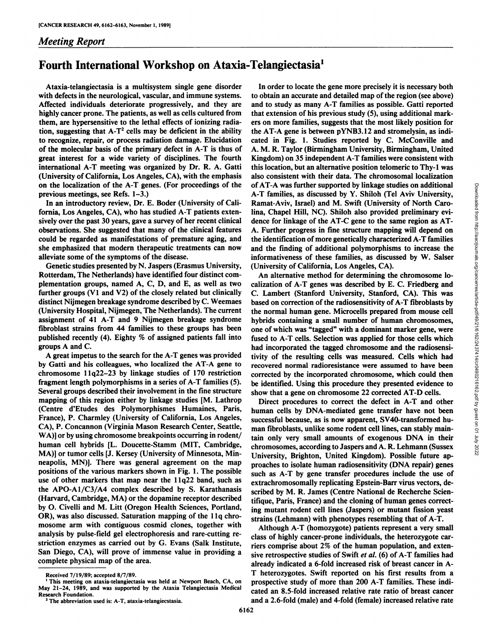## *Meeting Report*

## Fourth International Workshop on Ataxia-Telangiectasia1

Ataxia-telangiectasia is a multisystem single gene disorder with defects in the neurological, vascular, and immune systems. Affected individuals deteriorate progressively, and they are highly cancer prone. The patients, as well as cells cultured from them, are hypersensitive to the lethal effects of ionizing radia tion, suggesting that  $A-T^2$  cells may be deficient in the ability to recognize, repair, or process radiation damage. Elucidation of the molecular basis of the primary defect in A-T is thus of great interest for a wide variety of disciplines. The fourth international A-T meeting was organized by Dr. R. A. Gatti (University of California, Los Angeles, CA), with the emphasis on the localization of the A-T genes. (For proceedings of the previous meetings, see Refs. 1-3.)

In an introductory review, Dr. E. Boder (University of Cali fornia, Los Angeles, CA), who has studied A-T patients exten sively over the past 30 years, gave a survey of her recent clinical observations. She suggested that many of the clinical features could be regarded as manifestations of premature aging, and she emphasized that modern therapeutic treatments can now alleviate some of the symptoms of the disease.

Genetic studies presented by N. Jaspers (Erasmus University, Rotterdam, The Netherlands) have identified four distinct com plementation groups, named A, C, D, and E, as well as two further groups (VI and V2) of the closely related but clinically distinct Nijmegen breakage syndrome described by C. Weemaes (University Hospital, Nijmegen, The Netherlands). The current assignment of 41 A-T and 9 Nijmegen breakage syndrome fibroblast strains from 44 families to these groups has been one of which was "tagged" with a dominant marker gene, were published recently (4). Eighty % of assigned patients fall into groups A and C.

A great impetus to the search for the A-T genes was provided by Gatti and his colleagues, who localized the AT-A gene to chromosome llq22-23 by linkage studies of 170 restriction fragment length polymorphisms in a series of A-T families (5). Several groups described their involvement in the fine structure mapping of this region either by linkage studies [M. Lathrop (Centre d'Etudes des Polymorphismes Humaines, Paris, France), P. Charmley (University of California, Los Angeles, CA), P. Concannon (Virginia Mason Research Center, Seattle, WA)] or by using chromosome breakpoints occurring in rodent/ human cell hybrids [L. Doucette-Stamm (MIT, Cambridge, MA)] or tumor cells [J. Kersey (University of Minnesota, Min neapolis, MN)]. There was general agreement on the map positions of the various markers shown in Fig. 1. The possible use of other markers that map near the Ilq22 band, such as the APO-A1/C3/A4 complex described by S. Karathanasis (Harvard, Cambridge, MA) or the dopamine receptor described by O. Civelli and M. Litt (Oregon Health Sciences, Portland, OR), was also discussed. Saturation mapping of the llq chro mosome arm with contiguous cosmid clones, together with analysis by pulse-field gel electrophoresis and rare-cutting re striction enzymes as carried out by G. Evans (Salk Institute, San Diego, CA), will prove of immense value in providing a complete physical map of the area.

In order to locate the gene more precisely it is necessary both to obtain an accurate and detailed map of the region (see above) and to study as many A-T families as possible. Gatti reported that extension of his previous study (5), using additional mark ers on more families, suggests that the most likely position for the AT-A gene is between pYNB3.12 and stromelysin, as indi cated in Fig. 1. Studies reported by C. McConville and A. M. R. Taylor (Birmingham University, Birmingham, United Kingdom) on 35 independent A-T families were consistent with this location, but an alternative position telomeric to Thy-1 was also consistent with their data. The chromosomal localization of AT-A was further supported by linkage studies on additional A-T families, as discussed by Y. Shiloh (Tel Aviv University, lina, Chapel Hill, NC). Shiloh also provided preliminary evi dence for linkage of the AT-C gene to the same region as AT-A. Further progress in fine structure mapping will depend on the identification of more genetically characterized A-T families and the finding of additional polymorphisms to increase the informativeness of these families, as discussed by W. Salser (University of California, Los Angeles, CA).

of AT-A was further supported by linkage studies on additional<br>A-T families, as discussed by Y. Shiloh (Tel Aviv University,<br>Ramat-Aviv, Israel) and M. Swift (University of North Caro-<br>lina, Chapel Hill, NC). Shiloh also An alternative method for determining the chromosome lo calization of A-T genes was described by E. C. Friedberg and C. Lambert (Stanford University, Stanford, CA). This was based on correction of the radiosensitivity of A-T fibroblasts by the normal human gene. Microcells prepared from mouse cell hybrids containing a small number of human chromosomes, fused to A-T cells. Selection was applied for those cells which had incorporated the tagged chromosome and the radiosensi tivity of the resulting cells was measured. Cells which had recovered normal radioresistance were assumed to have been corrected by the incorporated chromosome, which could then be identified. Using this procedure they presented evidence to show that a gene on chromosome 22 corrected AT-D cells.

Direct procedures to correct the defect in A-T and other human cells by DNA-mediated gene transfer have not been successful because, as is now apparent, SV40-transformed hu man fibroblasts, unlike some rodent cell lines, can stably main tain only very small amounts of exogenous DNA in their chromosomes, according to Jaspers and A. R. Lehmann (Sussex University, Brighton, United Kingdom). Possible future ap proaches to isolate human radiosensitivity (DNA repair) genes such as A-T by gene transfer procedures include the use of extrachromosomally replicating Epstein-Barr virus vectors, de scribed by M. R. James (Centre National de Recherche Scien tifique, Paris, France) and the cloning of human genes correct ing mutant rodent cell lines (Jaspers) or mutant fission yeast strains (Lehmann) with phenotypes resembling that of A-T.

Although A-T (homozygote) patients represent a very small class of highly cancer-prone individuals, the heterozygote carriers comprise about 2% of the human population, and exten sive retrospective studies of Swift et al. (6) of A-T families had already indicated a 6-fold increased risk of breast cancer in A-T heterozygotes. Swift reported on his first results from a prospective study of more than 200 A-T families. These indi cated an 8.5-fold increased relative rate ratio of breast cancer and a 2.6-fold (male) and 4-fold (female) increased relative rate

Received 7/19/89; accepted 8/7/89.

<sup>&</sup>lt;sup>1</sup> This meeting on ataxia-telangiectasia was held at Newport Beach, CA, on May 21-24, 1989, and was supported by the Ataxia Telangiectasia Medical Research Foundation.

<sup>&</sup>lt;sup>2</sup> The abbreviation used is: A-T, ataxia-telangiecstasia.